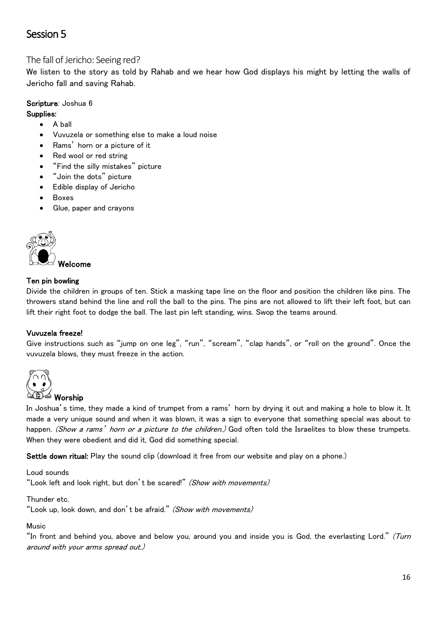# Session 5

## The fall of Jericho: Seeing red?

We listen to the story as told by Rahab and we hear how God displays his might by letting the walls of Jericho fall and saving Rahab.

# Scripture: Joshua 6

Supplies:

- A ball
- Vuvuzela or something else to make a loud noise
- Rams' horn or a picture of it
- Red wool or red string
- "Find the silly mistakes" picture
- "Join the dots" picture
- Edible display of Jericho
- **Boxes**
- Glue, paper and crayons



#### Ten pin bowling

Divide the children in groups of ten. Stick a masking tape line on the floor and position the children like pins. The throwers stand behind the line and roll the ball to the pins. The pins are not allowed to lift their left foot, but can lift their right foot to dodge the ball. The last pin left standing, wins. Swop the teams around.

#### Vuvuzela freeze!

Give instructions such as "jump on one leg", "run", "scream", "clap hands", or "roll on the ground". Once the vuvuzela blows, they must freeze in the action.



#### Worship

In Joshua's time, they made a kind of trumpet from a rams' horn by drying it out and making a hole to blow it. It made a very unique sound and when it was blown, it was a sign to everyone that something special was about to happen. (Show a rams' horn or a picture to the children.) God often told the Israelites to blow these trumpets. When they were obedient and did it, God did something special.

Settle down ritual: Play the sound clip (download it free from our website and play on a phone.)

Loud sounds

"Look left and look right, but don't be scared!" (Show with movements)

Thunder etc.

"Look up, look down, and don't be afraid." (Show with movements)

Music

"In front and behind you, above and below you, around you and inside you is God, the everlasting Lord." (Turn around with your arms spread out.)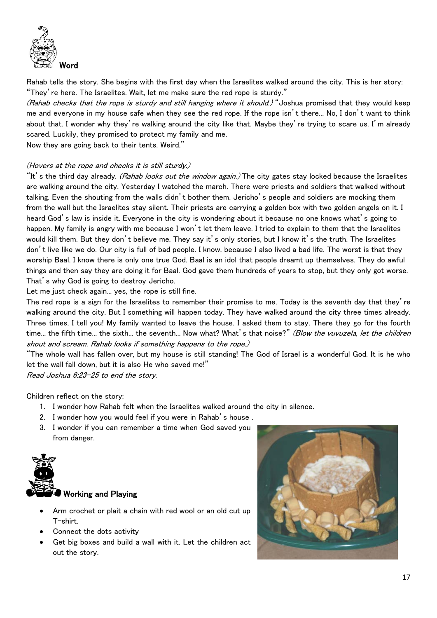

Rahab tells the story. She begins with the first day when the Israelites walked around the city. This is her story: "They're here. The Israelites. Wait, let me make sure the red rope is sturdy."

(Rahab checks that the rope is sturdy and still hanging where it should.) "Joshua promised that they would keep me and everyone in my house safe when they see the red rope. If the rope isn't there... No, I don't want to think about that. I wonder why they're walking around the city like that. Maybe they're trying to scare us. I'm already scared. Luckily, they promised to protect my family and me.

Now they are going back to their tents. Weird."

#### (Hovers at the rope and checks it is still sturdy.)

"It's the third day already. (Rahab looks out the window again.) The city gates stay locked because the Israelites are walking around the city. Yesterday I watched the march. There were priests and soldiers that walked without talking. Even the shouting from the walls didn't bother them. Jericho's people and soldiers are mocking them from the wall but the Israelites stay silent. Their priests are carrying a golden box with two golden angels on it. I heard God's law is inside it. Everyone in the city is wondering about it because no one knows what's going to happen. My family is angry with me because I won't let them leave. I tried to explain to them that the Israelites would kill them. But they don't believe me. They say it's only stories, but I know it's the truth. The Israelites don't live like we do. Our city is full of bad people. I know, because I also lived a bad life. The worst is that they worship Baal. I know there is only one true God. Baal is an idol that people dreamt up themselves. They do awful things and then say they are doing it for Baal. God gave them hundreds of years to stop, but they only got worse. That's why God is going to destroy Jericho.

Let me just check again... yes, the rope is still fine.

The red rope is a sign for the Israelites to remember their promise to me. Today is the seventh day that they're walking around the city. But I something will happen today. They have walked around the city three times already. Three times, I tell you! My family wanted to leave the house. I asked them to stay. There they go for the fourth time... the fifth time... the sixth... the seventh... Now what? What's that noise?" (Blow the vuvuzela, let the children shout and scream. Rahab looks if something happens to the rope.)

"The whole wall has fallen over, but my house is still standing! The God of Israel is a wonderful God. It is he who let the wall fall down, but it is also He who saved me!"

Read Joshua 6:23-25 to end the story.

Children reflect on the story:

- 1. I wonder how Rahab felt when the Israelites walked around the city in silence.
- 2. I wonder how you would feel if you were in Rahab's house .
- 3. I wonder if you can remember a time when God saved you from danger.



#### Working and Playing

- Arm crochet or plait a chain with red wool or an old cut up T-shirt.
- Connect the dots activity
- Get big boxes and build a wall with it. Let the children act out the story.